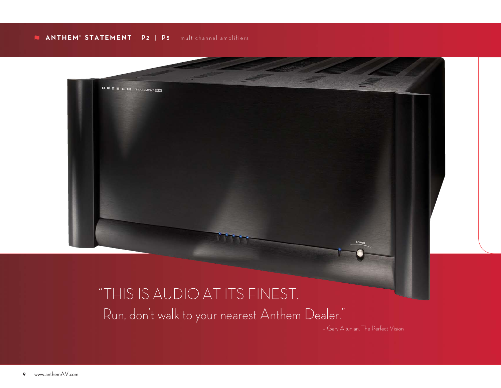# **ANTHEM**® **STATEMENT P2** | **P <sup>5</sup>** multichannel amplifiers



# "THIS IS AUDIO AT ITS FINEST. Run, don't walk to your nearest Anthem Dealer."

– Gary Altunian, The Perfect Vision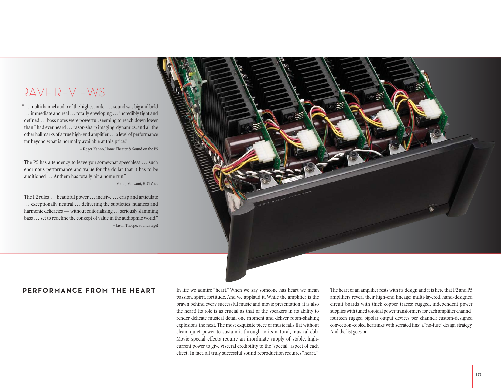# RAVE REVIEWS

"… multichannel audio of the highest order … sound was big and bold … immediate and real … totally enveloping … incredibly tight and defined … bass notes were powerful, seeming to reach down lower than I had ever heard … razor-sharp imaging, dynamics, and all the other hallmarks of a true high-end amplifier … a level of performance far beyond what is normally available at this price."

– Roger Kanno, Home Theater & Sound on the P5

"The P5 has a tendency to leave you somewhat speechless … such enormous performance and value for the dollar that it has to be auditioned … Anthem has totally hit a home run." – Manoj Motwani, HDTVetc.

"The P2 rules … beautiful power … incisive … crisp and articulate … exceptionally neutral … delivering the subtleties, nuances and harmonic delicacies — without editorializing … seriously slamming bass … set to redefine the concept of value in the audiophile world." – Jason Thorpe, SoundStage!



# **PERFORMANCE FROM THE HEART**

In life we admire "heart." When we say someone has heart we mean passion, spirit, fortitude. And we applaud it. While the amplifier is the brawn behind every successful music and movie presentation, it is also the heart! Its role is as crucial as that of the speakers in its ability to render delicate musical detail one moment and deliver room-shaking explosions the next. The most exquisite piece of music falls flat without clean, quiet power to sustain it through to its natural, musical ebb. Movie special effects require an inordinate supply of stable, highcurrent power to give visceral credibility to the "special" aspect of each effect! In fact, all truly successful sound reproduction requires "heart."

The heart of an amplifier rests with its design and it is here that P2 and P5 amplifiers reveal their high-end lineage: multi-layered, hand-designed circuit boards with thick copper traces; rugged, independent power supplies with tuned toroidal power transformers for each amplifier channel; fourteen rugged bipolar output devices per channel; custom-designed convection-cooled heatsinks with serrated fins; a "no-fuse" design strategy. And the list goes on.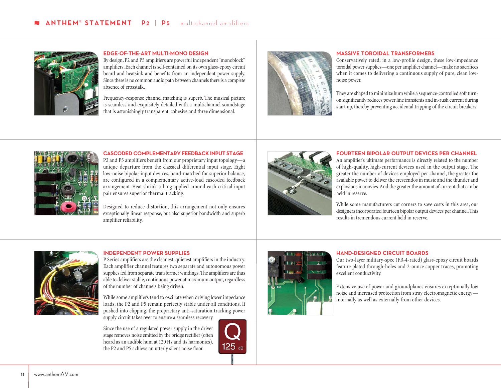

#### **EDGE-OF-THE-ART MULTI-MONO DESIGN**

By design, P2 and P5 amplifiers are powerful independent "monoblock" amplifiers. Each channel is self-contained on its own glass-epoxy circuit board and heatsink and benefits from an independent power supply. Since there is no common audio path between channels there is a complete absence of crosstalk.

Frequency-response channel matching is superb. The musical picture is seamless and exquisitely detailed with a multichannel soundstage that is astonishingly transparent, cohesive and three dimensional.



#### **MASSIVE TOROIDAL TRANSFORMERS**

Conservatively rated, in a low-profile design, these low-impedance toroidal power supplies—one per amplifier channel—make no sacrifices when it comes to delivering a continuous supply of pure, clean lownoise power.

They are shaped to minimize hum while a sequence-controlled soft turnon significantly reduces power line transients and in-rush current during start up, thereby preventing accidental tripping of the circuit breakers.



**CASCODED COMPLEMENTARY FEEDBACK INPUT STAGE** P2 and P5 amplifiers benefit from our proprietary input topology—a unique departure from the classical differential input stage. Eight

low-noise bipolar input devices, hand-matched for superior balance, are configured in a complementary active-load cascoded feedback arrangement. Heat shrink tubing applied around each critical input pair ensures superior thermal tracking.

Designed to reduce distortion, this arrangement not only ensures exceptionally linear response, but also superior bandwidth and superb amplifier reliability.



## **FOURTEEN BIPOLAR OUTPUT DEVICES PER CHANNEL**

An amplifier's ultimate performance is directly related to the number of high-quality, high-current devices used in the output stage. The greater the number of devices employed per channel, the greater the available power to deliver the crescendos in music and the thunder and explosions in movies. And the greater the amount of current that can be held in reserve.

While some manufacturers cut corners to save costs in this area, our designers incorporated fourteen bipolar output devices per channel. This results in tremendous current held in reserve.



#### **INDEPENDENT POWER SUPPLIES**

P Series amplifiers are the cleanest, quietest amplifiers in the industry. Each amplifier channel features two separate and autonomous power supplies fed from separate transformer windings. The amplifiers are thus able to deliver stable, continuous power at maximum output, regardless of the number of channels being driven.

While some amplifiers tend to oscillate when driving lower impedance loads, the P2 and P5 remain perfectly stable under all conditions. If pushed into clipping, the proprietary anti-saturation tracking power supply circuit takes over to ensure a seamless recovery.

Since the use of a regulated power supply in the driver stage removes noise emitted by the bridge rectifier (often heard as an audible hum at 120 Hz and its harmonics), the P2 and P5 achieve an utterly silent noise floor.





#### **HAND-DESIGNED CIRCUIT BOARDS**

Our two-layer military-spec (FR-4-rated) glass-epoxy circuit boards feature plated through-holes and 2-ounce copper traces, promoting excellent conductivity.

Extensive use of power and groundplanes ensures exceptionally low noise and increased protection from stray electromagnetic energy internally as well as externally from other devices.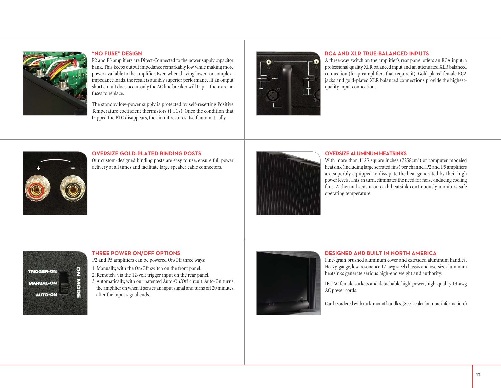

### **"NO FUSE" DESIGN**

P2 and P5 amplifiers are Direct-Connected to the power supply capacitor bank. This keeps output impedance remarkably low while making more power available to the amplifier. Even when driving lower- or compleximpedance loads, the result is audibly superior performance. If an output short circuit does occur, only the AC line breaker will trip—there are no fuses to replace.

The standby low-power supply is protected by self-resetting Positive Temperature coefficient thermistors (PTCs). Once the condition that tripped the PTC disappears, the circuit restores itself automatically.



#### **RCA AND XLR TRUE-BALANCED INPUTS**

A three-way switch on the amplifier's rear panel offers an RCA input, a professional quality XLR balanced input and an attenuated XLR balanced connection (for preamplifiers that require it). Gold-plated female RCA jacks and gold-plated XLR balanced connections provide the highestquality input connections.



# **OVERSIZE GOLD-PLATED BINDING POSTS**

Our custom-designed binding posts are easy to use, ensure full power delivery at all times and facilitate large speaker cable connectors.



#### **OVERSIZE ALUMINUM HEATSINKS**

With more than 1125 square inches (7258cm<sup>2</sup>) of computer modeled heatsink (including large serrated fins) per channel, P2 and P5 amplifiers are superbly equipped to dissipate the heat generated by their high power levels. This, in turn, eliminates the need for noise-inducing cooling fans. A thermal sensor on each heatsink continuously monitors safe operating temperature.



### **THREE POWER ON/OFF OPTIONS**

P2 and P5 amplifiers can be powered On/Off three ways:

- 1. Manually, with the On/Off switch on the front panel.
- 2. Remotely, via the 12-volt trigger input on the rear panel.
- 3. Automatically, with our patented Auto-On/Off circuit. Auto-On turns the amplifier on when it senses an input signal and turns off 20 minutes after the input signal ends.



#### **DESIGNED AND BUILT IN NORTH AMERICA**

Fine-grain brushed aluminum cover and extruded aluminum handles. Heavy-gauge, low-resonance 12-awg steel chassis and oversize aluminum heatsinks generate serious high-end weight and authority.

IEC AC female sockets and detachable high-power, high-quality 14-awg AC power cords.

Can be ordered with rack-mount handles.(See Dealer for more information.)